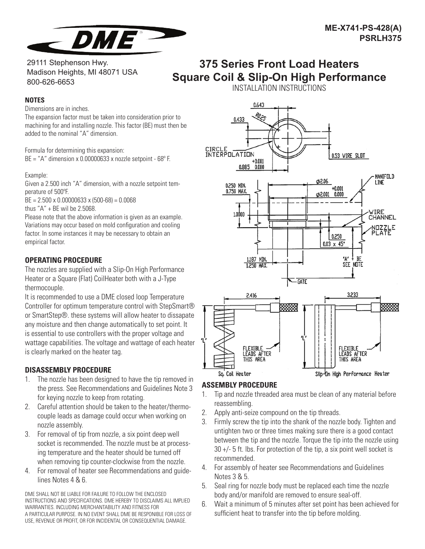

29111 Stephenson Hwy. Madison Heights, MI 48071 USA 800-626-6653

# **375 Series Front Load Heaters Square Coil & Slip-On High Performance**

**NOTES**

Dimensions are in inches.

The expansion factor must be taken into consideration prior to machining for and installing nozzle. This factor (BE) must then be added to the nominal "A" dimension.

Formula for determining this expansion:  $BE = "A"$  dimension x 0.00000633 x nozzle setpoint - 68 $^{\circ}$  F.

## Example:

Given a 2.500 inch "A" dimension, with a nozzle setpoint temperature of 500°F.

BE = 2.500 x 0.00000633 x (500-68) = 0.0068

thus "A" + BE wil be 2.5068.

Please note that the above information is given as an example. Variations may occur based on mold configuration and cooling factor. In some instances it may be necessary to obtain an empirical factor.

## **OPERATING PROCEDURE**

The nozzles are supplied with a Slip-On High Performance Heater or a Square (Flat) CoilHeater both with a J-Type thermocouple.

It is recommended to use a DME closed loop Temperature Controller for optimum temperature control with StepSmart® or SmartStep®. these systems will allow heater to dissapate any moisture and then change automatically to set point. It is essential to use controllers with the proper voltage and wattage capabilities. The voltage and wattage of each heater is clearly marked on the heater tag.

## **DISASSEMBLY PROCEDURE**

- 1. The nozzle has been designed to have the tip removed in the press. See Recommendations and Guidelines Note 3 for keying nozzle to keep from rotating.
- 2. Careful attention should be taken to the heater/thermocouple leads as damage could occur when working on nozzle assembly.
- 3. For removal of tip from nozzle, a six point deep well socket is recommended. The nozzle must be at processing temperature and the heater should be turned off when removing tip counter-clockwise from the nozzle.
- 4. For removal of heater see Recommendations and guidelines Notes 4 & 6.

DME SHALL NOT BE LIABLE FOR FAILURE TO FOLLOW THE ENCLOSED INSTRUCTIONS AND SPECIFICATIONS. DME HEREBY TO DISCLAIMS ALL IMPLIED WARRANTIES. INCLUDING MERCHANTABILITY AND FITNESS FOR A PARTICULAR PURPOSE. IN NO EVENT SHALL DME BE RESPONIBLE FOR LOSS OF USE, REVENUE OR PROFIT, OR FOR INCIDENTAL OR CONSEQUENTIAL DAMAGE.





# **ASSEMBLY PROCEDURE**

- 1. Tip and nozzle threaded area must be clean of any material before reassembling.
- 2. Apply anti-seize compound on the tip threads.
- 3. Firmly screw the tip into the shank of the nozzle body. Tighten and untighten two or three times making sure there is a good contact between the tip and the nozzle. Torque the tip into the nozzle using 30 +/- 5 ft. lbs. For protection of the tip, a six point well socket is recommended.
- 4. For assembly of heater see Recommendations and Guidelines Notes 3 & 5.
- 5. Seal ring for nozzle body must be replaced each time the nozzle body and/or manifold are removed to ensure seal-off.
- 6. Wait a minimum of 5 minutes after set point has been achieved for sufficient heat to transfer into the tip before molding.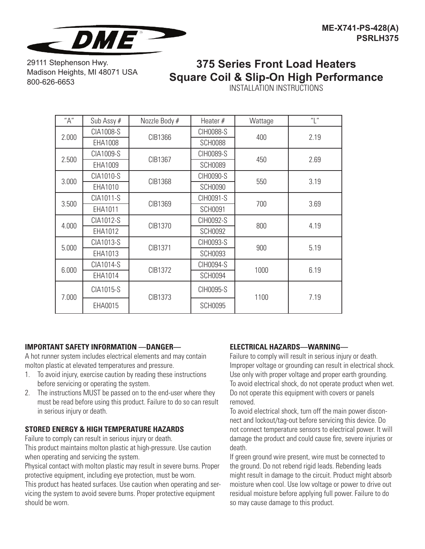

29111 Stephenson Hwy. Madison Heights, MI 48071 USA 800-626-6653

# **375 Series Front Load Heaters Square Coil & Slip-On High Performance**

INSTALLATION INSTRUCTIONS

| "A"   | Sub Assy # | Nozzle Body # | Heater $#$     | Wattage | "L"  |
|-------|------------|---------------|----------------|---------|------|
| 2.000 | CIA1008-S  | CIB1366       | CIH0088-S      | 400     | 2.19 |
|       | EHA1008    |               | <b>SCH0088</b> |         |      |
| 2.500 | CIA1009-S  | CIB1367       | CIH0089-S      | 450     | 2.69 |
|       | EHA1009    |               | <b>SCH0089</b> |         |      |
| 3.000 | CIA1010-S  | CIB1368       | CIH0090-S      | 550     | 3.19 |
|       | EHA1010    |               | <b>SCH0090</b> |         |      |
| 3.500 | CIA1011-S  | CIB1369       | CIH0091-S      | 700     | 3.69 |
|       | EHA1011    |               | <b>SCH0091</b> |         |      |
| 4.000 | CIA1012-S  | CIB1370       | CIH0092-S      | 800     | 4.19 |
|       | EHA1012    |               | <b>SCH0092</b> |         |      |
| 5.000 | CIA1013-S  | CIB1371       | CIH0093-S      | 900     | 5.19 |
|       | EHA1013    |               | <b>SCH0093</b> |         |      |
| 6.000 | CIA1014-S  | CIB1372       | CIH0094-S      | 1000    | 6.19 |
|       | EHA1014    |               | <b>SCH0094</b> |         |      |
| 7.000 | CIA1015-S  | CIB1373       | CIH0095-S      | 1100    | 7.19 |
|       | EHA0015    |               | <b>SCH0095</b> |         |      |

## **IMPORTANT SAFETY INFORMATION —DANGER—**

A hot runner system includes electrical elements and may contain molton plastic at elevated temperatures and pressure.

- 1. To avoid injury, exercise caution by reading these instructions before servicing or operating the system.
- 2. The instructions MUST be passed on to the end-user where they must be read before using this product. Failure to do so can result in serious injury or death.

## **STORED ENERGY & HIGH TEMPERATURE HAZARDS**

Failure to comply can result in serious injury or death.

This product maintains molton plastic at high-pressure. Use caution when operating and servicing the system.

Physical contact with molton plastic may result in severe burns. Proper protective equipment, including eye protection, must be worn.

This product has heated surfaces. Use caution when operating and servicing the system to avoid severe burns. Proper protective equipment should be worn.

## **ELECTRICAL HAZARDS—WARNING—**

Failure to comply will result in serious injury or death. Improper voltage or grounding can result in electrical shock. Use only with proper voltage and proper earth grounding. To avoid electrical shock, do not operate product when wet. Do not operate this equipment with covers or panels removed.

To avoid electrical shock, turn off the main power disconnect and lockout/tag-out before servicing this device. Do not connect temperature sensors to electrical power. It will damage the product and could cause fire, severe injuries or death.

If green ground wire present, wire must be connected to the ground. Do not rebend rigid leads. Rebending leads might result in damage to the circuit. Product might absorb moisture when cool. Use low voltage or power to drive out residual moisture before applying full power. Failure to do so may cause damage to this product.